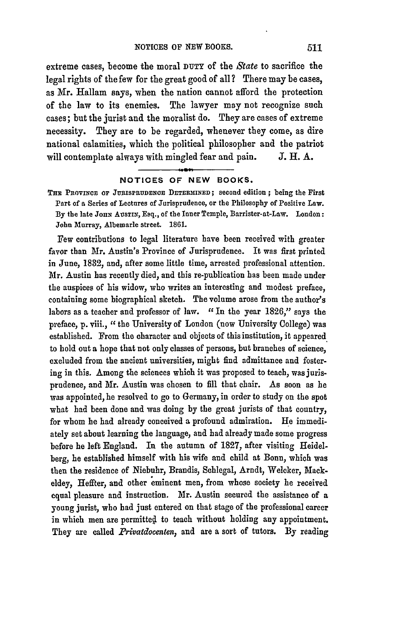extreme cases, become the moral **DUTY** of the *State* to sacrifice the legal rights of the few for the great good of all? There may be cases, as Mr. Hallam says, when the nation cannot afford the protection of the law to its enemies. The lawyer may not recognize such cases; but the jurist and the moralist do. They are cases of extreme necessity. They are to be regarded, whenever they come, as dire national calamities, which the political philosopher and the patriot will contemplate always with mingled fear and pain. **J.** H. A.

## **NOTICES OF NEW BOOKS.**

THE **PROVINCE OF JURISPRUDENCE DETERMINED;** second edition ; being the First Part of a Series of Lectures of Jurisprudence, or the Philosophy of Positive Law. By the late Jonn Ausrin, Esq., of the Inner Temple, Barrister-at-Law. London: John Murray, Albemarle street. **1861.**

Few contributions to legal literature have been received with greater favor than Mr. Austin's Province of Jurisprudence. It was first printed in June, **1832,** and, after some little time, arrested professional attention. Mr. Austin has recently died, and this re-publication has been made under the auspices of his widow, who writes an interesting and modest preface, containing some biographical sketch. The volume arose from the author's labors as a teacher and professor of law. *"In* the year 1826," says the preface, p. viii., " the University of London (now University College) was established. From the character and objects of this institution, it appeared to hold out a hope that not only classes of persons, but branches of science, excluded from the ancient universities, might find admittance and fostering in this. Among the sciences which it was proposed to teach, was jurisprudence, and Mr. Austin was chosen to fill that chair. As soon as he **was appointed,** he resolved to go to Germany, in order to study on the spot what had been done and was doing by the great jurists of that country, for whom he had already conceived a profound admiration. He immediately set about learning the language, and had already made some progress before he left England. In the autumn of **1827,** after visiting Heidelberg, he established himself with his wife and child at Bonn, which was then the residence of Niebuhr, Brandis, Schlegal, Arndt, Weleker, Mackeldey, Heffter, and other eminent men, from whose society he received equal pleasure and instruction. Mr. Austin secured the assistance of a young jurist, who had just entered on that stage of the professional career in which men are permitted to teach without holding any appointment. They are called *Privatdocenten*, and are a sort of tutors. By reading